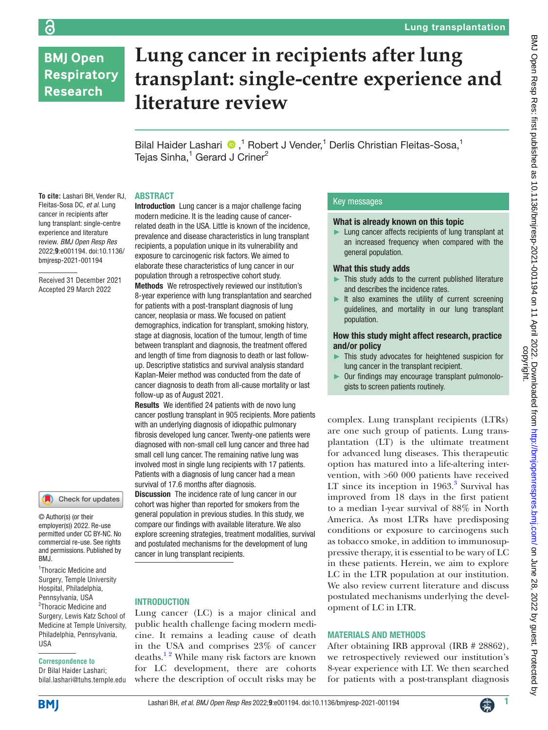# **BMJ Open Respiratory Research**

# **Lung cancer in recipients after lung transplant: single-centre experience and literature review**

Bilal Haider Lashari <sup>®</sup>,<sup>1</sup> Robert J Vender,<sup>1</sup> Derlis Christian Fleitas-Sosa,<sup>1</sup> Tejas Sinha,<sup>1</sup> Gerard J Criner<sup>2</sup>

#### ABSTRACT

**To cite:** Lashari BH, Vender RJ, Fleitas-Sosa DC, *et al*. Lung cancer in recipients after lung transplant: single-centre experience and literature review. *BMJ Open Resp Res* 2022;**9**:e001194. doi:10.1136/ bmjresp-2021-001194

Received 31 December 2021 Accepted 29 March 2022



© Author(s) (or their employer(s)) 2022. Re-use permitted under CC BY-NC. No commercial re-use. See rights and permissions. Published by BMJ.

1 Thoracic Medicine and Surgery, Temple University Hospital, Philadelphia, Pennsylvania, USA <sup>2</sup>Thoracic Medicine and Surgery, Lewis Katz School of Medicine at Temple University, Philadelphia, Pennsylvania, USA

# **Correspondence to**

Dr Bilal Haider Lashari; bilal.lashari@tuhs.temple.edu Introduction Lung cancer is a major challenge facing modern medicine. It is the leading cause of cancerrelated death in the USA. Little is known of the incidence, prevalence and disease characteristics in lung transplant recipients, a population unique in its vulnerability and exposure to carcinogenic risk factors. We aimed to elaborate these characteristics of lung cancer in our population through a retrospective cohort study. Methods We retrospectively reviewed our institution's 8-year experience with lung transplantation and searched for patients with a post-transplant diagnosis of lung cancer, neoplasia or mass. We focused on patient demographics, indication for transplant, smoking history, stage at diagnosis, location of the tumour, length of time between transplant and diagnosis, the treatment offered and length of time from diagnosis to death or last followup. Descriptive statistics and survival analysis standard Kaplan-Meier method was conducted from the date of cancer diagnosis to death from all-cause mortality or last follow-up as of August 2021.

Results We identified 24 patients with de novo lung cancer postlung transplant in 905 recipients. More patients with an underlying diagnosis of idiopathic pulmonary fibrosis developed lung cancer. Twenty-one patients were diagnosed with non-small cell lung cancer and three had small cell lung cancer. The remaining native lung was involved most in single lung recipients with 17 patients. Patients with a diagnosis of lung cancer had a mean survival of 17.6 months after diagnosis.

**Discussion** The incidence rate of lung cancer in our cohort was higher than reported for smokers from the general population in previous studies. In this study, we compare our findings with available literature. We also explore screening strategies, treatment modalities, survival and postulated mechanisms for the development of lung cancer in lung transplant recipients.

# INTRODUCTION

Lung cancer (LC) is a major clinical and public health challenge facing modern medicine. It remains a leading cause of death in the USA and comprises 23% of cancer deaths.<sup>12</sup> While many risk factors are known for LC development, there are cohorts where the description of occult risks may be

# Key messages

## What is already known on this topic

Lung cancer affects recipients of lung transplant at an increased frequency when compared with the general population.

### What this study adds

- ► This study adds to the current published literature and describes the incidence rates.
- $\blacktriangleright$  It also examines the utility of current screening guidelines, and mortality in our lung transplant population.

#### How this study might affect research, practice and/or policy

- This study advocates for heightened suspicion for lung cancer in the transplant recipient.
- ► Our findings may encourage transplant pulmonologists to screen patients routinely.

complex. Lung transplant recipients (LTRs) are one such group of patients. Lung transplantation (LT) is the ultimate treatment for advanced lung diseases. This therapeutic option has matured into a life-altering intervention, with >60 000 patients have received LT since its inception in  $1963$  $1963$ .<sup>3</sup> Survival has improved from 18 days in the first patient to a median 1-year survival of 88% in North America. As most LTRs have predisposing conditions or exposure to carcinogens such as tobacco smoke, in addition to immunosuppressive therapy, it is essential to be wary of LC in these patients. Herein, we aim to explore LC in the LTR population at our institution. We also review current literature and discuss postulated mechanisms underlying the development of LC in LTR.

### MATERIALS AND METHODS

After obtaining IRB approval (IRB # 28862), we retrospectively reviewed our institution's 8-year experience with LT. We then searched for patients with a post-transplant diagnosis



ခြ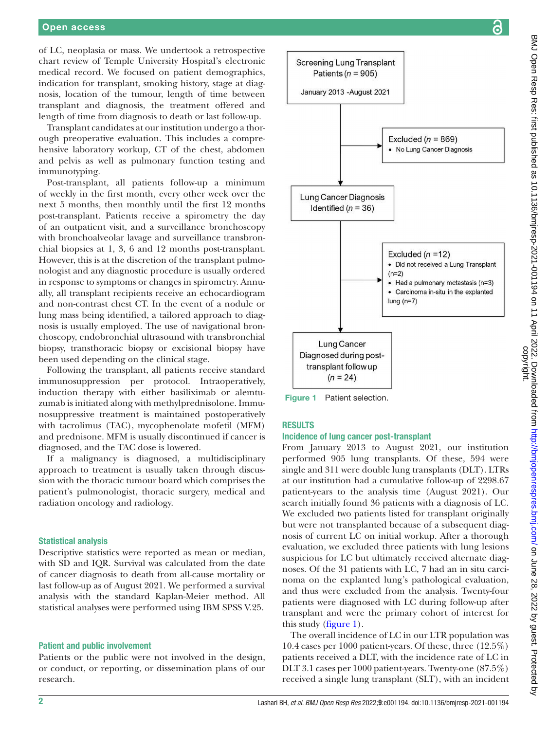of LC, neoplasia or mass. We undertook a retrospective chart review of Temple University Hospital's electronic medical record. We focused on patient demographics, indication for transplant, smoking history, stage at diagnosis, location of the tumour, length of time between transplant and diagnosis, the treatment offered and length of time from diagnosis to death or last follow-up.

Transplant candidates at our institution undergo a thorough preoperative evaluation. This includes a comprehensive laboratory workup, CT of the chest, abdomen and pelvis as well as pulmonary function testing and immunotyping.

Post-transplant, all patients follow-up a minimum of weekly in the first month, every other week over the next 5 months, then monthly until the first 12 months post-transplant. Patients receive a spirometry the day of an outpatient visit, and a surveillance bronchoscopy with bronchoalveolar lavage and surveillance transbronchial biopsies at 1, 3, 6 and 12 months post-transplant. However, this is at the discretion of the transplant pulmonologist and any diagnostic procedure is usually ordered in response to symptoms or changes in spirometry. Annually, all transplant recipients receive an echocardiogram and non-contrast chest CT. In the event of a nodule or lung mass being identified, a tailored approach to diagnosis is usually employed. The use of navigational bronchoscopy, endobronchial ultrasound with transbronchial biopsy, transthoracic biopsy or excisional biopsy have been used depending on the clinical stage.

Following the transplant, all patients receive standard immunosuppression per protocol. Intraoperatively, induction therapy with either basiliximab or alemtuzumab is initiated along with methylprednisolone. Immunosuppressive treatment is maintained postoperatively with tacrolimus (TAC), mycophenolate mofetil (MFM) and prednisone. MFM is usually discontinued if cancer is diagnosed, and the TAC dose is lowered.

If a malignancy is diagnosed, a multidisciplinary approach to treatment is usually taken through discussion with the thoracic tumour board which comprises the patient's pulmonologist, thoracic surgery, medical and radiation oncology and radiology.

#### Statistical analysis

Descriptive statistics were reported as mean or median, with SD and IQR. Survival was calculated from the date of cancer diagnosis to death from all-cause mortality or last follow-up as of August 2021. We performed a survival analysis with the standard Kaplan-Meier method. All statistical analyses were performed using IBM SPSS V.25.

#### Patient and public involvement

Patients or the public were not involved in the design, or conduct, or reporting, or dissemination plans of our research.



<span id="page-1-0"></span>Figure 1 Patient selection.

## RESULTS

#### Incidence of lung cancer post-transplant

From January 2013 to August 2021, our institution performed 905 lung transplants. Of these, 594 were single and 311 were double lung transplants (DLT). LTRs at our institution had a cumulative follow-up of 2298.67 patient-years to the analysis time (August 2021). Our search initially found 36 patients with a diagnosis of LC. We excluded two patients listed for transplant originally but were not transplanted because of a subsequent diagnosis of current LC on initial workup. After a thorough evaluation, we excluded three patients with lung lesions suspicious for LC but ultimately received alternate diagnoses. Of the 31 patients with LC, 7 had an in situ carcinoma on the explanted lung's pathological evaluation, and thus were excluded from the analysis. Twenty-four patients were diagnosed with LC during follow-up after transplant and were the primary cohort of interest for this study ([figure](#page-1-0) 1).

The overall incidence of LC in our LTR population was 10.4 cases per 1000 patient-years. Of these, three (12.5%) patients received a DLT, with the incidence rate of LC in DLT 3.1 cases per 1000 patient-years. Twenty-one (87.5%) received a single lung transplant (SLT), with an incident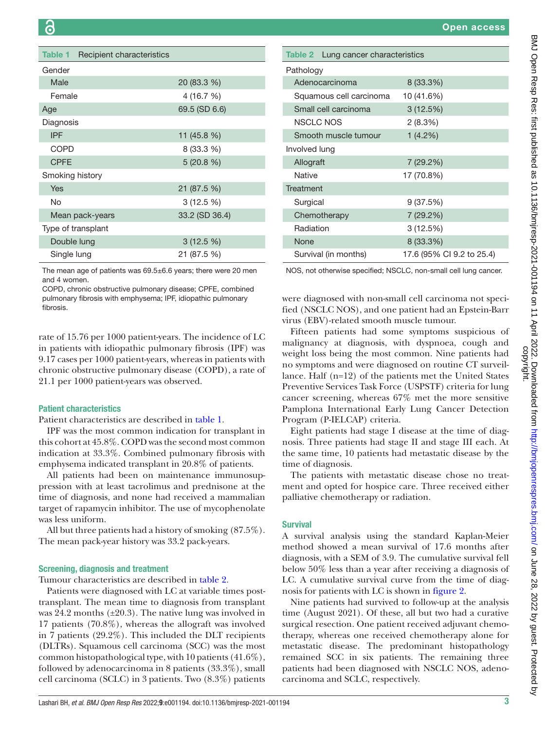<span id="page-2-0"></span>

| Table 1         | Recipient characteristics |                |
|-----------------|---------------------------|----------------|
| Gender          |                           |                |
| Male            |                           | 20 (83.3 %)    |
| Female          |                           | 4 (16.7 %)     |
| Age             |                           | 69.5 (SD 6.6)  |
| Diagnosis       |                           |                |
| <b>IPF</b>      |                           | 11 (45.8 %)    |
| COPD            |                           | 8 (33.3 %)     |
| <b>CPFE</b>     |                           | 5(20.8%)       |
| Smoking history |                           |                |
| Yes             |                           | 21 (87.5 %)    |
| No              |                           | $3(12.5\%)$    |
|                 | Mean pack-years           | 33.2 (SD 36.4) |
|                 | Type of transplant        |                |
| Double lung     |                           | $3(12.5\%)$    |
| Single lung     |                           | 21 (87.5 %)    |
|                 |                           |                |

The mean age of patients was 69.5±6.6 years; there were 20 men and 4 women.

COPD, chronic obstructive pulmonary disease; CPFE, combined pulmonary fibrosis with emphysema; IPF, idiopathic pulmonary fibrosis.

rate of 15.76 per 1000 patient-years. The incidence of LC in patients with idiopathic pulmonary fibrosis (IPF) was 9.17 cases per 1000 patient-years, whereas in patients with chronic obstructive pulmonary disease (COPD), a rate of 21.1 per 1000 patient-years was observed.

# Patient characteristics

Patient characteristics are described in [table](#page-2-0) 1.

IPF was the most common indication for transplant in this cohort at 45.8%. COPD was the second most common indication at 33.3%. Combined pulmonary fibrosis with emphysema indicated transplant in 20.8% of patients.

All patients had been on maintenance immunosuppression with at least tacrolimus and prednisone at the time of diagnosis, and none had received a mammalian target of rapamycin inhibitor. The use of mycophenolate was less uniform.

All but three patients had a history of smoking (87.5%). The mean pack-year history was 33.2 pack-years.

#### Screening, diagnosis and treatment

Tumour characteristics are described in [table](#page-2-1) 2.

Patients were diagnosed with LC at variable times posttransplant. The mean time to diagnosis from transplant was  $24.2$  months  $(\pm 20.3)$ . The native lung was involved in 17 patients (70.8%), whereas the allograft was involved in 7 patients (29.2%). This included the DLT recipients (DLTRs). Squamous cell carcinoma (SCC) was the most common histopathological type, with 10 patients (41.6%), followed by adenocarcinoma in 8 patients (33.3%), small cell carcinoma (SCLC) in 3 patients. Two (8.3%) patients

<span id="page-2-1"></span>

| <b>Table 2</b> Lung cancer characteristics |                           |
|--------------------------------------------|---------------------------|
| Pathology                                  |                           |
| Adenocarcinoma                             | 8 (33.3%)                 |
| Squamous cell carcinoma                    | 10 (41.6%)                |
| Small cell carcinoma                       | 3(12.5%)                  |
| <b>NSCLC NOS</b>                           | 2(8.3%)                   |
| Smooth muscle tumour                       | 1(4.2%)                   |
| Involved lung                              |                           |
| Allograft                                  | 7 (29.2%)                 |
| <b>Native</b>                              | 17 (70.8%)                |
| Treatment                                  |                           |
| Surgical                                   | 9 (37.5%)                 |
| Chemotherapy                               | 7 (29.2%)                 |
| Radiation                                  | 3 (12.5%)                 |
| None                                       | 8 (33.3%)                 |
| Survival (in months)                       | 17.6 (95% CI 9.2 to 25.4) |

NOS, not otherwise specified; NSCLC, non-small cell lung cancer.

were diagnosed with non-small cell carcinoma not specified (NSCLC NOS), and one patient had an Epstein-Barr virus (EBV)-related smooth muscle tumour.

Fifteen patients had some symptoms suspicious of malignancy at diagnosis, with dyspnoea, cough and weight loss being the most common. Nine patients had no symptoms and were diagnosed on routine CT surveillance. Half (n=12) of the patients met the United States Preventive Services Task Force (USPSTF) criteria for lung cancer screening, whereas 67% met the more sensitive Pamplona International Early Lung Cancer Detection Program (P-IELCAP) criteria.

Eight patients had stage I disease at the time of diagnosis. Three patients had stage II and stage III each. At the same time, 10 patients had metastatic disease by the time of diagnosis.

The patients with metastatic disease chose no treatment and opted for hospice care. Three received either palliative chemotherapy or radiation.

#### Survival

A survival analysis using the standard Kaplan-Meier method showed a mean survival of 17.6 months after diagnosis, with a SEM of 3.9. The cumulative survival fell below 50% less than a year after receiving a diagnosis of LC. A cumulative survival curve from the time of diagnosis for patients with LC is shown in [figure](#page-3-0) 2.

Nine patients had survived to follow-up at the analysis time (August 2021). Of these, all but two had a curative surgical resection. One patient received adjuvant chemotherapy, whereas one received chemotherapy alone for metastatic disease. The predominant histopathology remained SCC in six patients. The remaining three patients had been diagnosed with NSCLC NOS, adenocarcinoma and SCLC, respectively.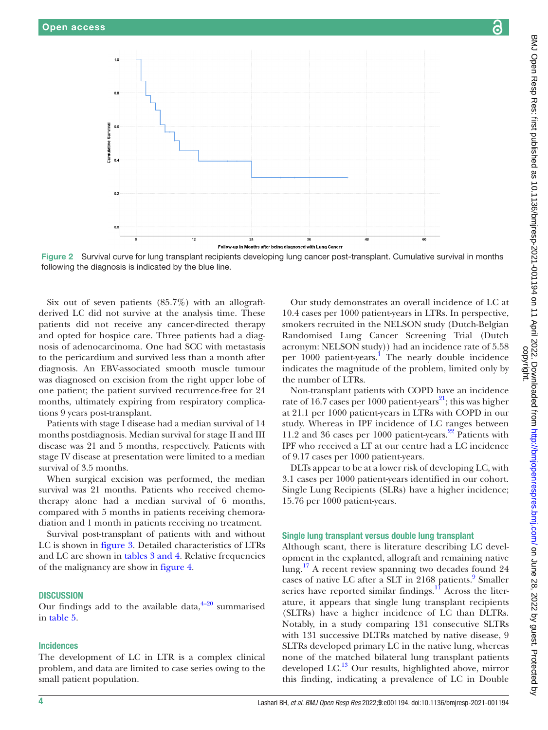

Figure 2 Survival curve for lung transplant recipients developing lung cancer post-transplant. Cumulative survival in months following the diagnosis is indicated by the blue line.

Six out of seven patients  $(85.7%)$  with an allograftderived LC did not survive at the analysis time. These patients did not receive any cancer-directed therapy and opted for hospice care. Three patients had a diagnosis of adenocarcinoma. One had SCC with metastasis to the pericardium and survived less than a month after diagnosis. An EBV-associated smooth muscle tumour was diagnosed on excision from the right upper lobe of one patient; the patient survived recurrence-free for 24 months, ultimately expiring from respiratory complications 9 years post-transplant.

Patients with stage I disease had a median survival of 14 months postdiagnosis. Median survival for stage II and III disease was 21 and 5 months, respectively. Patients with stage IV disease at presentation were limited to a median survival of 3.5 months.

When surgical excision was performed, the median survival was 21 months. Patients who received chemotherapy alone had a median survival of 6 months, compared with 5 months in patients receiving chemoradiation and 1 month in patients receiving no treatment.

Survival post-transplant of patients with and without LC is shown in [figure](#page-4-0) 3. Detailed characteristics of LTRs and LC are shown in tables [3 and 4](#page-5-0). Relative frequencies of the malignancy are show in [figure](#page-7-0) 4.

#### **DISCUSSION**

Our findings add to the available data,  $4-20$  summarised in [table](#page-8-0) 5.

#### Incidences

The development of LC in LTR is a complex clinical problem, and data are limited to case series owing to the small patient population.

<span id="page-3-0"></span>Our study demonstrates an overall incidence of LC at 10.4 cases per 1000 patient-years in LTRs. In perspective, smokers recruited in the NELSON study (Dutch-Belgian Randomised Lung Cancer Screening Trial (Dutch acronym: NELSON study)) had an incidence rate of 5.58 per 1000 patient-years. [1](#page-9-0) The nearly double incidence indicates the magnitude of the problem, limited only by the number of LTRs.

Non-transplant patients with COPD have an incidence rate of 16.7 cases per 1000 patient-years<sup>[21](#page-10-0)</sup>; this was higher at 21.1 per 1000 patient-years in LTRs with COPD in our study. Whereas in IPF incidence of LC ranges between 11.2 and 36 cases per 1000 patient-years. $^{22}$  Patients with IPF who received a LT at our centre had a LC incidence of 9.17 cases per 1000 patient-years.

DLTs appear to be at a lower risk of developing LC, with 3.1 cases per 1000 patient-years identified in our cohort. Single Lung Recipients (SLRs) have a higher incidence; 15.76 per 1000 patient-years.

#### Single lung transplant versus double lung transplant

Although scant, there is literature describing LC development in the explanted, allograft and remaining native lung.<sup>17</sup> A recent review spanning two decades found 24 cases of native LC after a SLT in 2168 patients.<sup>9</sup> Smaller series have reported similar findings. $^{11}$  $^{11}$  $^{11}$  Across the literature, it appears that single lung transplant recipients (SLTRs) have a higher incidence of LC than DLTRs. Notably, in a study comparing 131 consecutive SLTRs with 131 successive DLTRs matched by native disease, 9 SLTRs developed primary LC in the native lung, whereas none of the matched bilateral lung transplant patients developed LC. $^{13}$  Our results, highlighted above, mirror this finding, indicating a prevalence of LC in Double

ဥ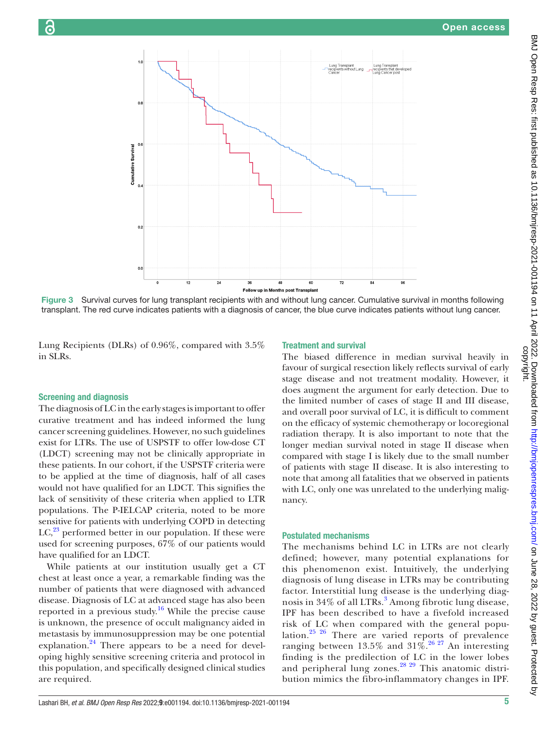

Figure 3 Survival curves for lung transplant recipients with and without lung cancer. Cumulative survival in months following transplant. The red curve indicates patients with a diagnosis of cancer, the blue curve indicates patients without lung cancer.

Lung Recipients (DLRs) of 0.96%, compared with 3.5% in SLRs.

# Screening and diagnosis

The diagnosis of LC in the early stages is important to offer curative treatment and has indeed informed the lung cancer screening guidelines. However, no such guidelines exist for LTRs. The use of USPSTF to offer low-dose CT (LDCT) screening may not be clinically appropriate in these patients. In our cohort, if the USPSTF criteria were to be applied at the time of diagnosis, half of all cases would not have qualified for an LDCT. This signifies the lack of sensitivity of these criteria when applied to LTR populations. The P-IELCAP criteria, noted to be more sensitive for patients with underlying COPD in detecting  $LC<sub>1</sub><sup>23</sup>$  $LC<sub>1</sub><sup>23</sup>$  $LC<sub>1</sub><sup>23</sup>$  performed better in our population. If these were used for screening purposes, 67% of our patients would have qualified for an LDCT.

While patients at our institution usually get a CT chest at least once a year, a remarkable finding was the number of patients that were diagnosed with advanced disease. Diagnosis of LC at advanced stage has also been reported in a previous study.<sup>[16](#page-10-4)</sup> While the precise cause is unknown, the presence of occult malignancy aided in metastasis by immunosuppression may be one potential explanation.<sup>[24](#page-10-5)</sup> There appears to be a need for developing highly sensitive screening criteria and protocol in this population, and specifically designed clinical studies are required.

# <span id="page-4-0"></span>Treatment and survival

The biased difference in median survival heavily in favour of surgical resection likely reflects survival of early stage disease and not treatment modality. However, it does augment the argument for early detection. Due to the limited number of cases of stage II and III disease, and overall poor survival of LC, it is difficult to comment on the efficacy of systemic chemotherapy or locoregional radiation therapy. It is also important to note that the longer median survival noted in stage II disease when compared with stage I is likely due to the small number of patients with stage II disease. It is also interesting to note that among all fatalities that we observed in patients with LC, only one was unrelated to the underlying malignancy.

### Postulated mechanisms

The mechanisms behind LC in LTRs are not clearly defined; however, many potential explanations for this phenomenon exist. Intuitively, the underlying diagnosis of lung disease in LTRs may be contributing factor. Interstitial lung disease is the underlying diag-nosis in [3](#page-9-1)4% of all LTRs.<sup>3</sup> Among fibrotic lung disease, IPF has been described to have a fivefold increased risk of LC when compared with the general population.[25 26](#page-10-6) There are varied reports of prevalence ranging between 13.5% and  $31\%$ .<sup>26,27</sup> An interesting finding is the predilection of LC in the lower lobes and peripheral lung zones.<sup>28 29</sup> This anatomic distribution mimics the fibro-inflammatory changes in IPF.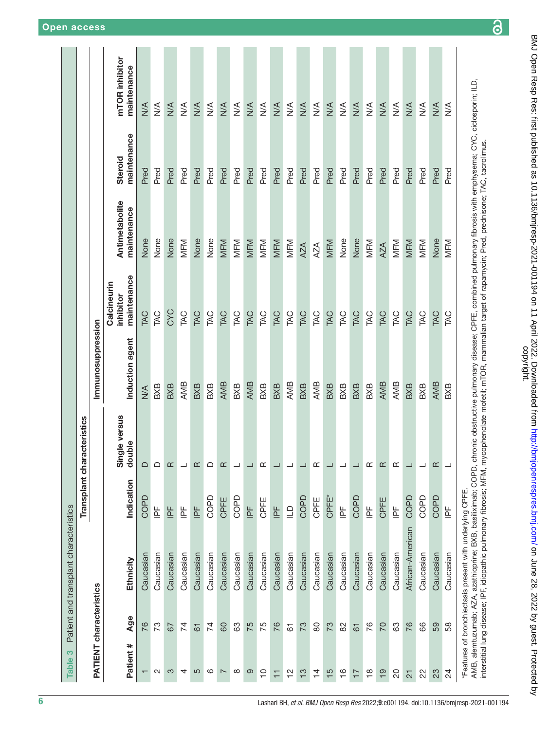<span id="page-5-0"></span>

| Indication<br>COPD<br>COPD<br>COPD<br><b>CPFE</b><br>CPFE<br>COPI<br>$\frac{\mu}{\mu}$<br>$\mathbb{E}$<br>$\mathsf{P}^\mathsf{F}$<br>$\mathrel{\underrightarrow{\textstyle\cup}}$<br>$\mathbb{E}$<br>トロ<br>$\mathbb{F}$<br>Caucasian<br>Caucasian<br>Caucasian<br>Caucasian<br>Caucasian<br>Caucasian<br>Caucasian<br>Caucasian<br>Caucasian<br>Caucasian<br>Caucasian<br>Caucasian<br>Caucasian<br>Ethnicity<br>PATIENT characteristics<br>Age<br>76<br>73<br>$\overline{7}$<br>75<br>75<br>76<br>74<br>80<br>63<br>73<br>67<br>67<br>$\overline{6}$<br>Patient #<br>5<br>ဖ<br>$\infty$<br>ၜ<br>$\mathbf{\Omega}$<br>က<br>4<br>$\overline{C}$<br>$\frac{1}{2}$<br>$\frac{1}{2}$<br>$\overline{\phantom{0}}$<br>$\overline{1}$<br>$\mathbf \tau$ | Transplant characteristics  |                   |                                         |                               |                               |                               |
|--------------------------------------------------------------------------------------------------------------------------------------------------------------------------------------------------------------------------------------------------------------------------------------------------------------------------------------------------------------------------------------------------------------------------------------------------------------------------------------------------------------------------------------------------------------------------------------------------------------------------------------------------------------------------------------------------------------------------------------------------|-----------------------------|-------------------|-----------------------------------------|-------------------------------|-------------------------------|-------------------------------|
|                                                                                                                                                                                                                                                                                                                                                                                                                                                                                                                                                                                                                                                                                                                                                  |                             |                   |                                         |                               |                               |                               |
|                                                                                                                                                                                                                                                                                                                                                                                                                                                                                                                                                                                                                                                                                                                                                  |                             | Immunosuppression |                                         |                               |                               |                               |
|                                                                                                                                                                                                                                                                                                                                                                                                                                                                                                                                                                                                                                                                                                                                                  | e versus<br>double<br>Singl | Induction agent   | maintenance<br>Calcineurin<br>inhibitor | Antimetabolite<br>maintenance | maintenance<br><b>Steroid</b> | mTOR inhibitor<br>maintenance |
|                                                                                                                                                                                                                                                                                                                                                                                                                                                                                                                                                                                                                                                                                                                                                  | ≏                           | $\frac{4}{2}$     | <b>EAC</b>                              | None                          | Pred                          | $\frac{1}{2}$                 |
|                                                                                                                                                                                                                                                                                                                                                                                                                                                                                                                                                                                                                                                                                                                                                  | ≏                           | BXB               | <b>TAC</b>                              | None                          | Pred                          | $\frac{4}{2}$                 |
|                                                                                                                                                                                                                                                                                                                                                                                                                                                                                                                                                                                                                                                                                                                                                  | ≃                           | BXB               | CYC                                     | None                          | Pred                          | $\frac{4}{2}$                 |
|                                                                                                                                                                                                                                                                                                                                                                                                                                                                                                                                                                                                                                                                                                                                                  |                             | AMB               | TAC                                     | MFM                           | Pred                          | $\frac{4}{2}$                 |
|                                                                                                                                                                                                                                                                                                                                                                                                                                                                                                                                                                                                                                                                                                                                                  | ≃                           | BXB               | TAC                                     | None                          | Pred                          | $\frac{4}{2}$                 |
|                                                                                                                                                                                                                                                                                                                                                                                                                                                                                                                                                                                                                                                                                                                                                  | ≏                           | BXB               | TAC                                     | None                          | Pred                          | $\frac{4}{2}$                 |
|                                                                                                                                                                                                                                                                                                                                                                                                                                                                                                                                                                                                                                                                                                                                                  | ≃                           | <b>AMB</b>        | TAC                                     | MFM                           | Pred                          | $M^{\text{A}}$                |
|                                                                                                                                                                                                                                                                                                                                                                                                                                                                                                                                                                                                                                                                                                                                                  |                             | BXB               | TAC                                     | MFM                           | Pred                          | $\frac{4}{2}$                 |
|                                                                                                                                                                                                                                                                                                                                                                                                                                                                                                                                                                                                                                                                                                                                                  |                             | AMB               | TAC                                     | MFM                           | Pred                          | $\frac{4}{\sqrt{2}}$          |
|                                                                                                                                                                                                                                                                                                                                                                                                                                                                                                                                                                                                                                                                                                                                                  | Œ                           | BXB               | TAC                                     | MFM                           | Pred                          | $\frac{4}{2}$                 |
|                                                                                                                                                                                                                                                                                                                                                                                                                                                                                                                                                                                                                                                                                                                                                  |                             | BXB               | TAC                                     | MFM                           | Pred                          | $M^{\text{A}}$                |
|                                                                                                                                                                                                                                                                                                                                                                                                                                                                                                                                                                                                                                                                                                                                                  |                             | AMB               | TAC                                     | MFM                           | Pred                          | $\frac{4}{2}$                 |
|                                                                                                                                                                                                                                                                                                                                                                                                                                                                                                                                                                                                                                                                                                                                                  |                             | BXB               | TAC                                     | AZA                           | Pred                          | $\frac{4}{2}$                 |
| CPFE<br>Caucasian<br>80<br>$\overline{4}$                                                                                                                                                                                                                                                                                                                                                                                                                                                                                                                                                                                                                                                                                                        | Œ                           | AMB               | TAC                                     | AZA                           | Pred                          | $\frac{4}{2}$                 |
| CPFE*<br>Caucasian<br>73<br>$\frac{5}{5}$                                                                                                                                                                                                                                                                                                                                                                                                                                                                                                                                                                                                                                                                                                        |                             | BXB               | TAC                                     | MFM                           | Pred                          | $M^4$                         |
| $\overline{\mathbb{F}}$<br>Caucasian<br>82<br>$\frac{6}{1}$                                                                                                                                                                                                                                                                                                                                                                                                                                                                                                                                                                                                                                                                                      |                             | BXB               | TAC                                     | None                          | Pred                          | $\frac{4}{2}$                 |
| COPD<br>Caucasian<br>$\overline{6}$<br>$\overline{1}$                                                                                                                                                                                                                                                                                                                                                                                                                                                                                                                                                                                                                                                                                            |                             | BXB               | TAC                                     | None                          | Pred                          | $\frac{4}{\sqrt{2}}$          |
| $\mathbb{E}$<br>Caucasian<br>76<br>$\frac{8}{10}$                                                                                                                                                                                                                                                                                                                                                                                                                                                                                                                                                                                                                                                                                                | ≃                           | BXB               | TAC                                     | MFM                           | Pred                          | $\frac{4}{2}$                 |
| <b>CPFE</b><br>Caucasian<br>20<br>$\frac{1}{2}$                                                                                                                                                                                                                                                                                                                                                                                                                                                                                                                                                                                                                                                                                                  | ≃                           | AMB               | TAC                                     | AZA                           | Pred                          | $M^4$                         |
| $\mathop{\underline{\mathbb{L}}}$<br>Caucasian<br>යි<br>20                                                                                                                                                                                                                                                                                                                                                                                                                                                                                                                                                                                                                                                                                       | ≃                           | AMB               | TAC                                     | MFM                           | Pred                          | $\frac{4}{2}$                 |
| COPD<br>African-American<br>76<br>$\overline{2}$                                                                                                                                                                                                                                                                                                                                                                                                                                                                                                                                                                                                                                                                                                 |                             | BXB               | TAC                                     | MFM                           | Pred                          | $M^4$                         |
| COPD<br>Caucasian<br>89<br>22                                                                                                                                                                                                                                                                                                                                                                                                                                                                                                                                                                                                                                                                                                                    | ┙                           | BXB               | <b>TAC</b>                              | MFM                           | Pred                          | $\frac{4}{2}$                 |
| <b>COPD</b><br>Caucasian<br>59<br>23                                                                                                                                                                                                                                                                                                                                                                                                                                                                                                                                                                                                                                                                                                             | Œ                           | AMB               | TAC                                     | None                          | Pred                          | $M^4$                         |
| $\overline{\mathbb{F}}$<br>Caucasian<br>58<br>24                                                                                                                                                                                                                                                                                                                                                                                                                                                                                                                                                                                                                                                                                                 | ┙                           | BXB               | TAC                                     | MFM                           | Pred                          | $\frac{4}{2}$                 |
| AMB, alemtuzumab; AZA, azathioprine; BXB, basiliximab; COPD, chronic obstructive pulmonary disease; CPFE, combined pulmonary fibrosis with emphysema; CYC, ciclosporin; ILD,<br>interstitial lung disease; IPF, idiopathic pulmonary fibrosis; MFM, mycophenolate mofetil; mTOR, mammalian target of rapamycin; Pred, prednisone; TAC, tacrolimus.<br>*Features of bronchiectasis present with underlying CPFE.                                                                                                                                                                                                                                                                                                                                  |                             |                   |                                         |                               |                               |                               |

 $\overline{\partial}$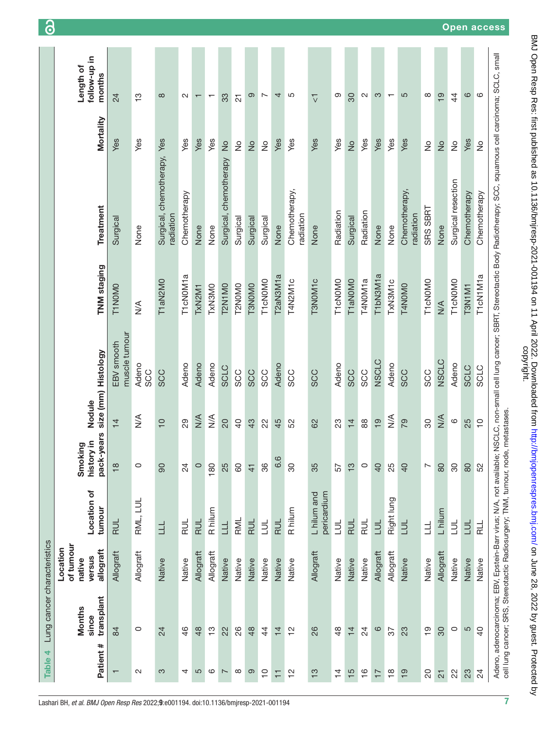| Mortality<br>Yes<br>Yes<br>Yes<br>Yes<br>Yes<br>Yes<br>Yes<br>Yes<br>Yes<br>Yes<br>Yes<br>Yes<br>Yes<br>Yes<br>Yes<br>$\frac{1}{2}$<br>$\stackrel{\circ}{\simeq}$<br>$\frac{1}{2}$<br>$\stackrel{\circ}{\succeq}$<br>$\frac{1}{2}$<br>$\frac{1}{2}$<br>$\frac{1}{2}$<br>$\stackrel{\circ}{\simeq}$<br>$\frac{1}{2}$<br>Surgical, chemotherapy,<br>Surgical, chemotherapy<br>Surgical resection<br>Chemotherapy,<br>Chemotherapy,<br>Chemotherapy<br>Chemotherapy<br>Treatment<br><b>SRS SBRT</b><br>Radiation<br>Radiation<br>radiation<br>radiation<br>radiation<br>Surgical<br>Surgical<br>Surgical<br>Surgical<br>Surgical<br>None<br>None<br>None<br>None<br>None<br>None<br>None<br>None<br>TNM staging<br>T2aN3M1a<br>T1bN3M1a<br>T1cN1M1a<br>T1cN0M1a<br>T3NOM <sub>1</sub> c<br>T4N2M1c<br>T4NOM1a<br>TxN3M1c<br>T1cN0M0<br>T1cN0M0<br>T1cN0M0<br>T1cN0M0<br>T1 aN2M0<br>T1aN0M0<br><b>T2NOMO</b><br><b>T3NOMO</b><br><b>T2N1M0</b><br>T4NOMO<br><b>T1NOMO</b><br><b>TxN3MO</b><br>T3N1M1<br>TxN2M1<br>$\frac{4}{2}$<br>$\stackrel{\triangleleft}{\geq}$<br>muscle tumour<br>EBV smooth<br>size (mm) Histology<br><b>NSCLC</b><br><b>NSCLC</b><br>Adeno<br>Adeno<br>Adeno<br>Adeno<br>Adeno<br>Adeno<br>Adeno<br>Adeno<br><b>SCLC</b><br><b>SCLC</b><br><b>SCLC</b><br>SCC<br><b>SCC</b><br>SCC<br><b>SCC</b><br><b>SCC</b><br><b>SCC</b><br><b>SCC</b><br><b>SCC</b><br>SCC<br>SCC<br>SCC<br>Nodule<br>$\stackrel{\leq}{\geq}$<br>$\lessgtr$<br>$\frac{4}{2}$<br>$\frac{1}{2}$<br>$M \times$<br>20<br>$\circ$<br>29<br>$\overline{a}$<br>$\frac{1}{2}$<br><b>P2</b><br>$\overline{4}$<br>$\overline{C}$<br>30<br>25<br>43<br>45<br>23<br>$88$<br>$\overline{C}$<br>22<br>52<br>82<br>$\overline{4}$<br>ars<br>history in<br>ත<br>pack-ye<br>Smoking<br>6.6<br>$\frac{8}{10}$<br>86<br>$\circ$<br>$\circ$<br>180<br>25<br>8<br>80<br>$\circ$<br>$\overline{a}$<br>25<br>$\overline{a}$<br>80<br>80<br>90<br>$\overline{24}$<br>35<br>$\frac{1}{2}$<br>$\overline{ }$<br>80<br>52<br>57<br>$\frac{1}{4}$<br>Location of<br>pericardium<br>L hilum and<br>Right lung<br>RML, LUL<br>tumour<br>R hilum<br>R hilum<br>L hilum<br>RML<br><b>RUL</b><br><b>RUL</b><br><b>RUL</b><br><b>RUL</b><br>RUL<br><b>RUL</b><br>RUL<br>$\exists$<br>$\exists$<br>$\exists$<br>$\exists$<br><b>TNT</b><br>$\frac{1}{R}$<br>$\exists$<br>$\frac{1}{11}$<br>$\exists$<br>$\equiv$<br>of tumour<br>Location<br>allograft<br>Allograft<br>Allograft<br>Allograft<br>Allograft<br>Allograft<br>Allograft<br>Allograft<br>Allograft<br>versus<br>Native<br>Native<br>Native<br>Native<br>Native<br>Native<br>Native<br>native<br>Native<br>Native<br>Native<br>Native<br>Native<br>Native<br>Native<br>Native<br>Native<br>transplant<br><b>Months</b><br>since<br>$\frac{1}{2}$<br>$\circ$<br>5<br>84<br>0<br>$\frac{6}{5}$<br>48<br>$\frac{1}{2}$<br>88<br>$\frac{1}{2}$<br>26<br>$\frac{8}{4}$<br>$\overline{24}$<br>$\circ$<br>23<br>30<br>$\overline{a}$<br>24<br>22<br>48<br>4<br>$\overline{4}$<br>$\overline{4}$<br>57<br>₩<br>Patient<br>$\frac{8}{1}$<br>က<br>5<br>$\circ$<br>$\infty$<br>တ<br>$\overline{C}$<br>$\frac{1}{2}$<br>$\frac{3}{2}$<br>$\frac{4}{1}$<br>$\frac{5}{1}$<br>$\frac{6}{1}$<br>$\overline{19}$<br>$\overline{c}$<br>22<br>23<br>24<br>$\mathbf{\Omega}$<br>4<br>$\overline{17}$<br>$\overline{2}$<br>$\sim$<br>Ξ | Table 4 | Lung cancer characteristics |  |  |  |              |                           |
|-------------------------------------------------------------------------------------------------------------------------------------------------------------------------------------------------------------------------------------------------------------------------------------------------------------------------------------------------------------------------------------------------------------------------------------------------------------------------------------------------------------------------------------------------------------------------------------------------------------------------------------------------------------------------------------------------------------------------------------------------------------------------------------------------------------------------------------------------------------------------------------------------------------------------------------------------------------------------------------------------------------------------------------------------------------------------------------------------------------------------------------------------------------------------------------------------------------------------------------------------------------------------------------------------------------------------------------------------------------------------------------------------------------------------------------------------------------------------------------------------------------------------------------------------------------------------------------------------------------------------------------------------------------------------------------------------------------------------------------------------------------------------------------------------------------------------------------------------------------------------------------------------------------------------------------------------------------------------------------------------------------------------------------------------------------------------------------------------------------------------------------------------------------------------------------------------------------------------------------------------------------------------------------------------------------------------------------------------------------------------------------------------------------------------------------------------------------------------------------------------------------------------------------------------------------------------------------------------------------------------------------------------------------------------------------------------------------------------------------------------------------------------------------------------------------------------------------------------------------------------------------------------------------------------------------------------------------------------------------------------------------------------------------------------------------------------------------------------------------------------------------------------------------------------------------------------------------------------------------------------------------------------------------------------------------------------------------|---------|-----------------------------|--|--|--|--------------|---------------------------|
|                                                                                                                                                                                                                                                                                                                                                                                                                                                                                                                                                                                                                                                                                                                                                                                                                                                                                                                                                                                                                                                                                                                                                                                                                                                                                                                                                                                                                                                                                                                                                                                                                                                                                                                                                                                                                                                                                                                                                                                                                                                                                                                                                                                                                                                                                                                                                                                                                                                                                                                                                                                                                                                                                                                                                                                                                                                                                                                                                                                                                                                                                                                                                                                                                                                                                                                                     |         |                             |  |  |  |              | follow-up in<br>Length of |
|                                                                                                                                                                                                                                                                                                                                                                                                                                                                                                                                                                                                                                                                                                                                                                                                                                                                                                                                                                                                                                                                                                                                                                                                                                                                                                                                                                                                                                                                                                                                                                                                                                                                                                                                                                                                                                                                                                                                                                                                                                                                                                                                                                                                                                                                                                                                                                                                                                                                                                                                                                                                                                                                                                                                                                                                                                                                                                                                                                                                                                                                                                                                                                                                                                                                                                                                     |         |                             |  |  |  |              | months                    |
|                                                                                                                                                                                                                                                                                                                                                                                                                                                                                                                                                                                                                                                                                                                                                                                                                                                                                                                                                                                                                                                                                                                                                                                                                                                                                                                                                                                                                                                                                                                                                                                                                                                                                                                                                                                                                                                                                                                                                                                                                                                                                                                                                                                                                                                                                                                                                                                                                                                                                                                                                                                                                                                                                                                                                                                                                                                                                                                                                                                                                                                                                                                                                                                                                                                                                                                                     |         |                             |  |  |  |              | 24                        |
|                                                                                                                                                                                                                                                                                                                                                                                                                                                                                                                                                                                                                                                                                                                                                                                                                                                                                                                                                                                                                                                                                                                                                                                                                                                                                                                                                                                                                                                                                                                                                                                                                                                                                                                                                                                                                                                                                                                                                                                                                                                                                                                                                                                                                                                                                                                                                                                                                                                                                                                                                                                                                                                                                                                                                                                                                                                                                                                                                                                                                                                                                                                                                                                                                                                                                                                                     |         |                             |  |  |  |              | $\frac{1}{2}$             |
|                                                                                                                                                                                                                                                                                                                                                                                                                                                                                                                                                                                                                                                                                                                                                                                                                                                                                                                                                                                                                                                                                                                                                                                                                                                                                                                                                                                                                                                                                                                                                                                                                                                                                                                                                                                                                                                                                                                                                                                                                                                                                                                                                                                                                                                                                                                                                                                                                                                                                                                                                                                                                                                                                                                                                                                                                                                                                                                                                                                                                                                                                                                                                                                                                                                                                                                                     |         |                             |  |  |  |              | $\infty$                  |
|                                                                                                                                                                                                                                                                                                                                                                                                                                                                                                                                                                                                                                                                                                                                                                                                                                                                                                                                                                                                                                                                                                                                                                                                                                                                                                                                                                                                                                                                                                                                                                                                                                                                                                                                                                                                                                                                                                                                                                                                                                                                                                                                                                                                                                                                                                                                                                                                                                                                                                                                                                                                                                                                                                                                                                                                                                                                                                                                                                                                                                                                                                                                                                                                                                                                                                                                     |         |                             |  |  |  |              | $\mathbf{\Omega}$         |
|                                                                                                                                                                                                                                                                                                                                                                                                                                                                                                                                                                                                                                                                                                                                                                                                                                                                                                                                                                                                                                                                                                                                                                                                                                                                                                                                                                                                                                                                                                                                                                                                                                                                                                                                                                                                                                                                                                                                                                                                                                                                                                                                                                                                                                                                                                                                                                                                                                                                                                                                                                                                                                                                                                                                                                                                                                                                                                                                                                                                                                                                                                                                                                                                                                                                                                                                     |         |                             |  |  |  |              | $\overline{\phantom{0}}$  |
|                                                                                                                                                                                                                                                                                                                                                                                                                                                                                                                                                                                                                                                                                                                                                                                                                                                                                                                                                                                                                                                                                                                                                                                                                                                                                                                                                                                                                                                                                                                                                                                                                                                                                                                                                                                                                                                                                                                                                                                                                                                                                                                                                                                                                                                                                                                                                                                                                                                                                                                                                                                                                                                                                                                                                                                                                                                                                                                                                                                                                                                                                                                                                                                                                                                                                                                                     |         |                             |  |  |  |              | $\overline{\phantom{0}}$  |
|                                                                                                                                                                                                                                                                                                                                                                                                                                                                                                                                                                                                                                                                                                                                                                                                                                                                                                                                                                                                                                                                                                                                                                                                                                                                                                                                                                                                                                                                                                                                                                                                                                                                                                                                                                                                                                                                                                                                                                                                                                                                                                                                                                                                                                                                                                                                                                                                                                                                                                                                                                                                                                                                                                                                                                                                                                                                                                                                                                                                                                                                                                                                                                                                                                                                                                                                     |         |                             |  |  |  |              | 33                        |
|                                                                                                                                                                                                                                                                                                                                                                                                                                                                                                                                                                                                                                                                                                                                                                                                                                                                                                                                                                                                                                                                                                                                                                                                                                                                                                                                                                                                                                                                                                                                                                                                                                                                                                                                                                                                                                                                                                                                                                                                                                                                                                                                                                                                                                                                                                                                                                                                                                                                                                                                                                                                                                                                                                                                                                                                                                                                                                                                                                                                                                                                                                                                                                                                                                                                                                                                     |         |                             |  |  |  |              | $\overline{2}$            |
|                                                                                                                                                                                                                                                                                                                                                                                                                                                                                                                                                                                                                                                                                                                                                                                                                                                                                                                                                                                                                                                                                                                                                                                                                                                                                                                                                                                                                                                                                                                                                                                                                                                                                                                                                                                                                                                                                                                                                                                                                                                                                                                                                                                                                                                                                                                                                                                                                                                                                                                                                                                                                                                                                                                                                                                                                                                                                                                                                                                                                                                                                                                                                                                                                                                                                                                                     |         |                             |  |  |  |              | ၜ                         |
|                                                                                                                                                                                                                                                                                                                                                                                                                                                                                                                                                                                                                                                                                                                                                                                                                                                                                                                                                                                                                                                                                                                                                                                                                                                                                                                                                                                                                                                                                                                                                                                                                                                                                                                                                                                                                                                                                                                                                                                                                                                                                                                                                                                                                                                                                                                                                                                                                                                                                                                                                                                                                                                                                                                                                                                                                                                                                                                                                                                                                                                                                                                                                                                                                                                                                                                                     |         |                             |  |  |  |              | $\overline{ }$            |
|                                                                                                                                                                                                                                                                                                                                                                                                                                                                                                                                                                                                                                                                                                                                                                                                                                                                                                                                                                                                                                                                                                                                                                                                                                                                                                                                                                                                                                                                                                                                                                                                                                                                                                                                                                                                                                                                                                                                                                                                                                                                                                                                                                                                                                                                                                                                                                                                                                                                                                                                                                                                                                                                                                                                                                                                                                                                                                                                                                                                                                                                                                                                                                                                                                                                                                                                     |         |                             |  |  |  |              | 4                         |
|                                                                                                                                                                                                                                                                                                                                                                                                                                                                                                                                                                                                                                                                                                                                                                                                                                                                                                                                                                                                                                                                                                                                                                                                                                                                                                                                                                                                                                                                                                                                                                                                                                                                                                                                                                                                                                                                                                                                                                                                                                                                                                                                                                                                                                                                                                                                                                                                                                                                                                                                                                                                                                                                                                                                                                                                                                                                                                                                                                                                                                                                                                                                                                                                                                                                                                                                     |         |                             |  |  |  |              | Ю                         |
|                                                                                                                                                                                                                                                                                                                                                                                                                                                                                                                                                                                                                                                                                                                                                                                                                                                                                                                                                                                                                                                                                                                                                                                                                                                                                                                                                                                                                                                                                                                                                                                                                                                                                                                                                                                                                                                                                                                                                                                                                                                                                                                                                                                                                                                                                                                                                                                                                                                                                                                                                                                                                                                                                                                                                                                                                                                                                                                                                                                                                                                                                                                                                                                                                                                                                                                                     |         |                             |  |  |  |              | $\overline{\vee}$         |
|                                                                                                                                                                                                                                                                                                                                                                                                                                                                                                                                                                                                                                                                                                                                                                                                                                                                                                                                                                                                                                                                                                                                                                                                                                                                                                                                                                                                                                                                                                                                                                                                                                                                                                                                                                                                                                                                                                                                                                                                                                                                                                                                                                                                                                                                                                                                                                                                                                                                                                                                                                                                                                                                                                                                                                                                                                                                                                                                                                                                                                                                                                                                                                                                                                                                                                                                     |         |                             |  |  |  |              | တ                         |
|                                                                                                                                                                                                                                                                                                                                                                                                                                                                                                                                                                                                                                                                                                                                                                                                                                                                                                                                                                                                                                                                                                                                                                                                                                                                                                                                                                                                                                                                                                                                                                                                                                                                                                                                                                                                                                                                                                                                                                                                                                                                                                                                                                                                                                                                                                                                                                                                                                                                                                                                                                                                                                                                                                                                                                                                                                                                                                                                                                                                                                                                                                                                                                                                                                                                                                                                     |         |                             |  |  |  |              | 30                        |
|                                                                                                                                                                                                                                                                                                                                                                                                                                                                                                                                                                                                                                                                                                                                                                                                                                                                                                                                                                                                                                                                                                                                                                                                                                                                                                                                                                                                                                                                                                                                                                                                                                                                                                                                                                                                                                                                                                                                                                                                                                                                                                                                                                                                                                                                                                                                                                                                                                                                                                                                                                                                                                                                                                                                                                                                                                                                                                                                                                                                                                                                                                                                                                                                                                                                                                                                     |         |                             |  |  |  |              | $\sim$                    |
|                                                                                                                                                                                                                                                                                                                                                                                                                                                                                                                                                                                                                                                                                                                                                                                                                                                                                                                                                                                                                                                                                                                                                                                                                                                                                                                                                                                                                                                                                                                                                                                                                                                                                                                                                                                                                                                                                                                                                                                                                                                                                                                                                                                                                                                                                                                                                                                                                                                                                                                                                                                                                                                                                                                                                                                                                                                                                                                                                                                                                                                                                                                                                                                                                                                                                                                                     |         |                             |  |  |  |              | S                         |
|                                                                                                                                                                                                                                                                                                                                                                                                                                                                                                                                                                                                                                                                                                                                                                                                                                                                                                                                                                                                                                                                                                                                                                                                                                                                                                                                                                                                                                                                                                                                                                                                                                                                                                                                                                                                                                                                                                                                                                                                                                                                                                                                                                                                                                                                                                                                                                                                                                                                                                                                                                                                                                                                                                                                                                                                                                                                                                                                                                                                                                                                                                                                                                                                                                                                                                                                     |         |                             |  |  |  |              |                           |
|                                                                                                                                                                                                                                                                                                                                                                                                                                                                                                                                                                                                                                                                                                                                                                                                                                                                                                                                                                                                                                                                                                                                                                                                                                                                                                                                                                                                                                                                                                                                                                                                                                                                                                                                                                                                                                                                                                                                                                                                                                                                                                                                                                                                                                                                                                                                                                                                                                                                                                                                                                                                                                                                                                                                                                                                                                                                                                                                                                                                                                                                                                                                                                                                                                                                                                                                     |         |                             |  |  |  |              | 5                         |
|                                                                                                                                                                                                                                                                                                                                                                                                                                                                                                                                                                                                                                                                                                                                                                                                                                                                                                                                                                                                                                                                                                                                                                                                                                                                                                                                                                                                                                                                                                                                                                                                                                                                                                                                                                                                                                                                                                                                                                                                                                                                                                                                                                                                                                                                                                                                                                                                                                                                                                                                                                                                                                                                                                                                                                                                                                                                                                                                                                                                                                                                                                                                                                                                                                                                                                                                     |         |                             |  |  |  |              | $\infty$                  |
|                                                                                                                                                                                                                                                                                                                                                                                                                                                                                                                                                                                                                                                                                                                                                                                                                                                                                                                                                                                                                                                                                                                                                                                                                                                                                                                                                                                                                                                                                                                                                                                                                                                                                                                                                                                                                                                                                                                                                                                                                                                                                                                                                                                                                                                                                                                                                                                                                                                                                                                                                                                                                                                                                                                                                                                                                                                                                                                                                                                                                                                                                                                                                                                                                                                                                                                                     |         |                             |  |  |  |              | $\overline{1}$            |
|                                                                                                                                                                                                                                                                                                                                                                                                                                                                                                                                                                                                                                                                                                                                                                                                                                                                                                                                                                                                                                                                                                                                                                                                                                                                                                                                                                                                                                                                                                                                                                                                                                                                                                                                                                                                                                                                                                                                                                                                                                                                                                                                                                                                                                                                                                                                                                                                                                                                                                                                                                                                                                                                                                                                                                                                                                                                                                                                                                                                                                                                                                                                                                                                                                                                                                                                     |         |                             |  |  |  |              | 4                         |
|                                                                                                                                                                                                                                                                                                                                                                                                                                                                                                                                                                                                                                                                                                                                                                                                                                                                                                                                                                                                                                                                                                                                                                                                                                                                                                                                                                                                                                                                                                                                                                                                                                                                                                                                                                                                                                                                                                                                                                                                                                                                                                                                                                                                                                                                                                                                                                                                                                                                                                                                                                                                                                                                                                                                                                                                                                                                                                                                                                                                                                                                                                                                                                                                                                                                                                                                     |         |                             |  |  |  |              | $\circ$                   |
|                                                                                                                                                                                                                                                                                                                                                                                                                                                                                                                                                                                                                                                                                                                                                                                                                                                                                                                                                                                                                                                                                                                                                                                                                                                                                                                                                                                                                                                                                                                                                                                                                                                                                                                                                                                                                                                                                                                                                                                                                                                                                                                                                                                                                                                                                                                                                                                                                                                                                                                                                                                                                                                                                                                                                                                                                                                                                                                                                                                                                                                                                                                                                                                                                                                                                                                                     |         |                             |  |  |  | Chemotherapy | ဖ                         |

Lashari BH, *et al*. *BMJ Open Resp Res* 2022;**9**:e001194. doi:10.1136/bmjresp-2021-001194 7

BMJ Open Resp Res: first published as 10.1136/bmjresp-2021-001194 on 11 April 2022. Downloaded from http://bmjopenrespres.bmj.com/ on June 28, 2022 by guest. Protected by<br>copyright.

BMJ Open Resp Res: first published as 10.1136/bmjresp-2021-001194 on 11 April 2022. Downloaded from <http://bmjopenrespres.bmj.com/> on June 28, 2022 by guest. Protected by

Open access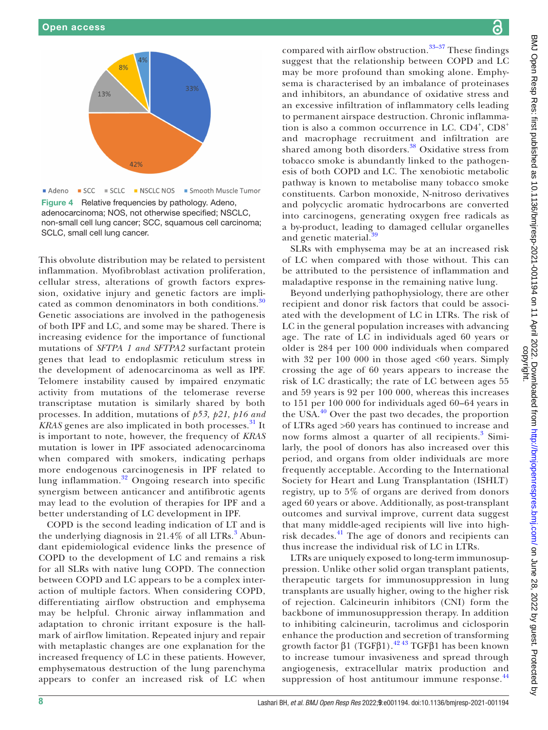

<span id="page-7-0"></span>Figure 4 Relative frequencies by pathology. Adeno, adenocarcinoma; NOS, not otherwise specified; NSCLC, non-small cell lung cancer; SCC, squamous cell carcinoma; SCLC, small cell lung cancer.

This obvolute distribution may be related to persistent inflammation. Myofibroblast activation proliferation, cellular stress, alterations of growth factors expression, oxidative injury and genetic factors are impli-cated as common denominators in both conditions.<sup>[30](#page-10-9)</sup> Genetic associations are involved in the pathogenesis of both IPF and LC, and some may be shared. There is increasing evidence for the importance of functional mutations of *SFTPA 1 and SFTPA2* surfactant protein genes that lead to endoplasmic reticulum stress in the development of adenocarcinoma as well as IPF. Telomere instability caused by impaired enzymatic activity from mutations of the telomerase reverse transcriptase mutation is similarly shared by both processes. In addition, mutations of *p53, p21, p16 and KRAS* genes are also implicated in both processes.<sup>[31](#page-10-10)</sup> It is important to note, however, the frequency of *KRAS* mutation is lower in IPF associated adenocarcinoma when compared with smokers, indicating perhaps more endogenous carcinogenesis in IPF related to lung inflammation.<sup>[32](#page-10-11)</sup> Ongoing research into specific synergism between anticancer and antifibrotic agents may lead to the evolution of therapies for IPF and a better understanding of LC development in IPF.

COPD is the second leading indication of LT and is the underlying diagnosis in  $21.4\%$  of all LTRs.<sup>[3](#page-9-1)</sup> Abundant epidemiological evidence links the presence of COPD to the development of LC and remains a risk for all SLRs with native lung COPD. The connection between COPD and LC appears to be a complex interaction of multiple factors. When considering COPD, differentiating airflow obstruction and emphysema may be helpful. Chronic airway inflammation and adaptation to chronic irritant exposure is the hallmark of airflow limitation. Repeated injury and repair with metaplastic changes are one explanation for the increased frequency of LC in these patients. However, emphysematous destruction of the lung parenchyma appears to confer an increased risk of LC when

compared with airflow obstruction. $33-37$  These findings suggest that the relationship between COPD and LC may be more profound than smoking alone. Emphysema is characterised by an imbalance of proteinases and inhibitors, an abundance of oxidative stress and an excessive infiltration of inflammatory cells leading to permanent airspace destruction. Chronic inflammation is also a common occurrence in LC. CD4<sup>+</sup>, CD8<sup>+</sup> and macrophage recruitment and infiltration are shared among both disorders.<sup>38</sup> Oxidative stress from tobacco smoke is abundantly linked to the pathogenesis of both COPD and LC. The xenobiotic metabolic pathway is known to metabolise many tobacco smoke constituents. Carbon monoxide, N-nitroso derivatives and polycyclic aromatic hydrocarbons are converted into carcinogens, generating oxygen free radicals as a by-product, leading to damaged cellular organelles and genetic material.<sup>3</sup>

SLRs with emphysema may be at an increased risk of LC when compared with those without. This can be attributed to the persistence of inflammation and maladaptive response in the remaining native lung.

Beyond underlying pathophysiology, there are other recipient and donor risk factors that could be associated with the development of LC in LTRs. The risk of LC in the general population increases with advancing age. The rate of LC in individuals aged 60 years or older is 284 per 100 000 individuals when compared with 32 per 100 000 in those aged  $<60$  years. Simply crossing the age of 60 years appears to increase the risk of LC drastically; the rate of LC between ages 55 and 59 years is 92 per 100 000, whereas this increases to 151 per 100 000 for individuals aged 60–64 years in the USA.<sup>[40](#page-10-15)</sup> Over the past two decades, the proportion of LTRs aged >60 years has continued to increase and now forms almost a quarter of all recipients.<sup>[3](#page-9-1)</sup> Similarly, the pool of donors has also increased over this period, and organs from older individuals are more frequently acceptable. According to the International Society for Heart and Lung Transplantation (ISHLT) registry, up to 5% of organs are derived from donors aged 60 years or above. Additionally, as post-transplant outcomes and survival improve, current data suggest that many middle-aged recipients will live into high-risk decades.<sup>[41](#page-10-16)</sup> The age of donors and recipients can thus increase the individual risk of LC in LTRs.

LTRs are uniquely exposed to long-term immunosuppression. Unlike other solid organ transplant patients, therapeutic targets for immunosuppression in lung transplants are usually higher, owing to the higher risk of rejection. Calcineurin inhibitors (CNI) form the backbone of immunosuppression therapy. In addition to inhibiting calcineurin, tacrolimus and ciclosporin enhance the production and secretion of transforming growth factor  $β1$  (TGF $β1$ ).<sup>42 43</sup> TGF $β1$  has been known to increase tumour invasiveness and spread through angiogenesis, extracellular matrix production and suppression of host antitumour immune response.<sup>[44](#page-10-18)</sup>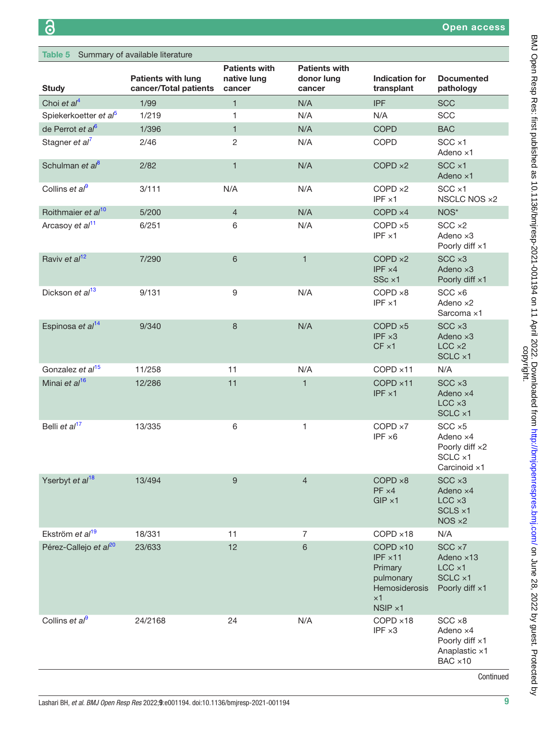<span id="page-8-0"></span>

| Table 5 Summary of available literature |                                                    |                                               |                                              |                                                                                                               |                                                                                   |
|-----------------------------------------|----------------------------------------------------|-----------------------------------------------|----------------------------------------------|---------------------------------------------------------------------------------------------------------------|-----------------------------------------------------------------------------------|
| <b>Study</b>                            | <b>Patients with lung</b><br>cancer/Total patients | <b>Patients with</b><br>native lung<br>cancer | <b>Patients with</b><br>donor lung<br>cancer | <b>Indication for</b><br>transplant                                                                           | <b>Documented</b><br>pathology                                                    |
| Choi et $al4$                           | 1/99                                               | $\mathbf{1}$                                  | N/A                                          | <b>IPF</b>                                                                                                    | <b>SCC</b>                                                                        |
| Spiekerkoetter et al <sup>5</sup>       | 1/219                                              | 1                                             | N/A                                          | N/A                                                                                                           | <b>SCC</b>                                                                        |
| de Perrot et al <sup>6</sup>            | 1/396                                              | $\mathbf{1}$                                  | N/A                                          | <b>COPD</b>                                                                                                   | <b>BAC</b>                                                                        |
| Stagner et al <sup>7</sup>              | 2/46                                               | 2                                             | N/A                                          | COPD                                                                                                          | $SCC \times 1$<br>Adeno ×1                                                        |
| Schulman et al <sup>8</sup>             | 2/82                                               | $\mathbf{1}$                                  | N/A                                          | $COPD \times 2$                                                                                               | $SCC \times 1$<br>Adeno ×1                                                        |
| Collins et $a^{\beta}$                  | 3/111                                              | N/A                                           | N/A                                          | COPD ×2<br>$IPF \times 1$                                                                                     | $SCC \times 1$<br>NSCLC NOS ×2                                                    |
| Roithmaier et al <sup>10</sup>          | 5/200                                              | $\overline{4}$                                | N/A                                          | $COPD \times 4$                                                                                               | NOS*                                                                              |
| Arcasoy et al <sup>11</sup>             | 6/251                                              | 6                                             | N/A                                          | $COPD \times 5$<br>$IPF \times 1$                                                                             | $SCC \times 2$<br>Adeno $\times$ 3<br>Poorly diff x1                              |
| Raviv et al <sup>12</sup>               | 7/290                                              | 6                                             | $\mathbf{1}$                                 | $COPD \times 2$<br>$IPF \times 4$<br>SSc ×1                                                                   | $SCC \times 3$<br>Adeno $\times$ 3<br>Poorly diff ×1                              |
| Dickson et al <sup>13</sup>             | 9/131                                              | 9                                             | N/A                                          | $COPD \times 8$<br>$IPF \times 1$                                                                             | $SCC \times 6$<br>Adeno $\times$ 2<br>Sarcoma ×1                                  |
| Espinosa et al <sup>14</sup>            | 9/340                                              | 8                                             | N/A                                          | $COPD \times 5$<br>$IPF \times 3$<br>$CF \times 1$                                                            | $SCC \times 3$<br>Adeno x3<br>$LCC \times 2$<br>SCLC ×1                           |
| Gonzalez et al <sup>15</sup>            | 11/258                                             | 11                                            | N/A                                          | COPD ×11                                                                                                      | N/A                                                                               |
| Minai et al <sup>16</sup>               | 12/286                                             | 11                                            | 1                                            | COPD ×11<br>$IPF \times 1$                                                                                    | $SCC \times 3$<br>Adeno x4<br>$LCC \times 3$<br>SCLC ×1                           |
| Belli et al <sup>17</sup>               | 13/335                                             | 6                                             | 1                                            | COPD ×7<br>$IPF \times 6$                                                                                     | $SCC \times 5$<br>Adeno ×4<br>Poorly diff x2<br>SCLC x1<br>Carcinoid ×1           |
| Yserbyt et al <sup>18</sup>             | 13/494                                             | 9                                             | $\overline{4}$                               | COPD ×8<br>$PF \times 4$<br>$GIP \times 1$                                                                    | $SCC \times 3$<br>Adeno x4<br>$LCC \times 3$<br>$SCLS \times 1$<br>$NOS \times 2$ |
| Ekström et al <sup>19</sup>             | 18/331                                             | 11                                            | $\overline{7}$                               | $COPD \times 18$                                                                                              | N/A                                                                               |
| Pérez-Callejo et al <sup>20</sup>       | 23/633                                             | 12                                            | 6                                            | $COPD \times 10$<br>$IPF \times 11$<br>Primary<br>pulmonary<br>Hemosiderosis<br>$\times$ 1<br>$NSIP \times 1$ | SCC ×7<br>Adeno $\times$ 13<br>$LCC \times 1$<br>SCLC ×1<br>Poorly diff x1        |
| Collins et $a^{9}$                      | 24/2168                                            | 24                                            | N/A                                          | $COPD \times 18$<br>$IPF \times 3$                                                                            | $SCC \times 8$<br>Adeno ×4<br>Poorly diff x1<br>Anaplastic x1<br>$BAC \times 10$  |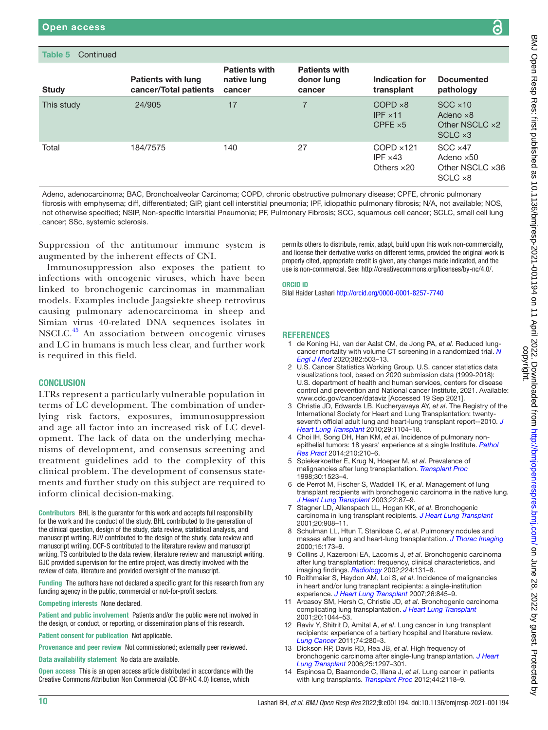| <b>Study</b> | <b>Patients with lung</b><br>cancer/Total patients | <b>Patients with</b><br>native lung<br>cancer | <b>Patients with</b><br>donor lung<br>cancer | Indication for<br>transplant                               | <b>Documented</b><br>pathology                                           |
|--------------|----------------------------------------------------|-----------------------------------------------|----------------------------------------------|------------------------------------------------------------|--------------------------------------------------------------------------|
| This study   | 24/905                                             | 17                                            |                                              | $COPD \times 8$<br>$IPF \times 11$<br>CPFE $\times$ 5      | $SCC \times 10$<br>Adeno $\times$ 8<br>Other NSCLC x2<br>$SCLC \times 3$ |
| Total        | 184/7575                                           | 140                                           | 27                                           | $COPD \times 121$<br>IPF $\times$ 43<br>Others $\times 20$ | $SCC \times 47$<br>Adeno $\times$ 50<br>Other NSCLC x36<br>SCLC ×8       |

Adeno, adenocarcinoma; BAC, Bronchoalveolar Carcinoma; COPD, chronic obstructive pulmonary disease; CPFE, chronic pulmonary fibrosis with emphysema; diff, differentiated; GIP, giant cell interstitial pneumonia; IPF, idiopathic pulmonary fibrosis; N/A, not available; NOS, not otherwise specified; NSIP, Non-specific Intersitial Pneumonia; PF, Pulmonary Fibrosis; SCC, squamous cell cancer; SCLC, small cell lung cancer; SSc, systemic sclerosis.

Suppression of the antitumour immune system is augmented by the inherent effects of CNI.

Immunosuppression also exposes the patient to infections with oncogenic viruses, which have been linked to bronchogenic carcinomas in mammalian models. Examples include Jaagsiekte sheep retrovirus causing pulmonary adenocarcinoma in sheep and Simian virus 40-related DNA sequences isolates in NSCLC.[45](#page-10-23) An association between oncogenic viruses and LC in humans is much less clear, and further work is required in this field.

# **CONCLUSION**

LTRs represent a particularly vulnerable population in terms of LC development. The combination of underlying risk factors, exposures, immunosuppression and age all factor into an increased risk of LC development. The lack of data on the underlying mechanisms of development, and consensus screening and treatment guidelines add to the complexity of this clinical problem. The development of consensus statements and further study on this subject are required to inform clinical decision-making.

Contributors BHL is the guarantor for this work and accepts full responsibility for the work and the conduct of the study. BHL contributed to the generation of the clinical question, design of the study, data review, statistical analysis, and manuscript writing. RJV contributed to the design of the study, data review and manuscript writing. DCF-S contributed to the literature review and manuscript writing. TS contributed to the data review, literature review and manuscript writing. GJC provided supervision for the entire project, was directly involved with the review of data, literature and provided oversight of the manuscript.

Funding The authors have not declared a specific grant for this research from any funding agency in the public, commercial or not-for-profit sectors.

Competing interests None declared.

Patient and public involvement Patients and/or the public were not involved in the design, or conduct, or reporting, or dissemination plans of this research.

Patient consent for publication Not applicable.

Provenance and peer review Not commissioned; externally peer reviewed.

Data availability statement No data are available.

Open access This is an open access article distributed in accordance with the Creative Commons Attribution Non Commercial (CC BY-NC 4.0) license, which

permits others to distribute, remix, adapt, build upon this work non-commercially, and license their derivative works on different terms, provided the original work is properly cited, appropriate credit is given, any changes made indicated, and the use is non-commercial. See:<http://creativecommons.org/licenses/by-nc/4.0/>.

#### ORCID iD

Bilal Haider Lashari <http://orcid.org/0000-0001-8257-7740>

### **REFERENCES**

- <span id="page-9-0"></span>1 de Koning HJ, van der Aalst CM, de Jong PA, *et al*. Reduced lungcancer mortality with volume CT screening in a randomized trial. *[N](http://dx.doi.org/10.1056/NEJMoa1911793)  [Engl J Med](http://dx.doi.org/10.1056/NEJMoa1911793)* 2020;382:503–13.
- 2 U.S. Cancer Statistics Working Group. U.S. cancer statistics data visualizations tool, based on 2020 submission data (1999-2018): U.S. department of health and human services, centers for disease control and prevention and National cancer Institute, 2021. Available: <www.cdc.gov/cancer/dataviz> [Accessed 19 Sep 2021].
- <span id="page-9-1"></span>3 Christie JD, Edwards LB, Kucheryavaya AY, *et al*. The Registry of the International Society for Heart and Lung Transplantation: twentyseventh official adult lung and heart-lung transplant report--2010. *[J](http://dx.doi.org/10.1016/j.healun.2010.08.004)  [Heart Lung Transplant](http://dx.doi.org/10.1016/j.healun.2010.08.004)* 2010;29:1104–18.
- <span id="page-9-2"></span>4 Choi IH, Song DH, Han KM, *et al*. Incidence of pulmonary nonepithelial tumors: 18 years' experience at a single Institute. *[Pathol](http://dx.doi.org/10.1016/j.prp.2013.12.002)  [Res Pract](http://dx.doi.org/10.1016/j.prp.2013.12.002)* 2014;210:210–6.
- <span id="page-9-6"></span>5 Spiekerkoetter E, Krug N, Hoeper M, *et al*. Prevalence of malignancies after lung transplantation. *[Transplant Proc](http://dx.doi.org/10.1016/s0041-1345(98)00343-1)* 1998;30:1523–4.
- <span id="page-9-7"></span>6 de Perrot M, Fischer S, Waddell TK, *et al*. Management of lung transplant recipients with bronchogenic carcinoma in the native lung. *[J Heart Lung Transplant](http://dx.doi.org/10.1016/s1053-2498(02)00446-1)* 2003;22:87–9.
- <span id="page-9-8"></span>7 Stagner LD, Allenspach LL, Hogan KK, *et al*. Bronchogenic carcinoma in lung transplant recipients. *[J Heart Lung Transplant](http://dx.doi.org/10.1016/s1053-2498(01)00271-6)* 2001;20:908–11.
- <span id="page-9-9"></span>8 Schulman LL, Htun T, Staniloae C, *et al*. Pulmonary nodules and masses after lung and heart-lung transplantation. *[J Thorac Imaging](http://dx.doi.org/10.1097/00005382-200007000-00004)* 2000;15:173–9.
- <span id="page-9-3"></span>9 Collins J, Kazerooni EA, Lacomis J, *et al*. Bronchogenic carcinoma after lung transplantation: frequency, clinical characteristics, and imaging findings. *[Radiology](http://dx.doi.org/10.1148/radiol.2241011189)* 2002;224:131–8.
- <span id="page-9-10"></span>10 Roithmaier S, Haydon AM, Loi S, *et al*. Incidence of malignancies in heart and/or lung transplant recipients: a single-institution experience. *[J Heart Lung Transplant](http://dx.doi.org/10.1016/j.healun.2007.05.019)* 2007;26:845–9.
- <span id="page-9-4"></span>11 Arcasoy SM, Hersh C, Christie JD, *et al*. Bronchogenic carcinoma complicating lung transplantation. *[J Heart Lung Transplant](http://dx.doi.org/10.1016/s1053-2498(01)00301-1)* 2001;20:1044–53.
- <span id="page-9-11"></span>12 Raviv Y, Shitrit D, Amital A, *et al*. Lung cancer in lung transplant recipients: experience of a tertiary hospital and literature review. *[Lung Cancer](http://dx.doi.org/10.1016/j.lungcan.2011.02.012)* 2011;74:280–3.
- <span id="page-9-5"></span>13 Dickson RP, Davis RD, Rea JB, *et al*. High frequency of bronchogenic carcinoma after single-lung transplantation. *[J Heart](http://dx.doi.org/10.1016/j.healun.2006.09.009)  [Lung Transplant](http://dx.doi.org/10.1016/j.healun.2006.09.009)* 2006;25:1297–301.
- <span id="page-9-12"></span>14 Espinosa D, Baamonde C, Illana J, *et al*. Lung cancer in patients with lung transplants. *[Transplant Proc](http://dx.doi.org/10.1016/j.transproceed.2012.07.067)* 2012;44:2118–9.